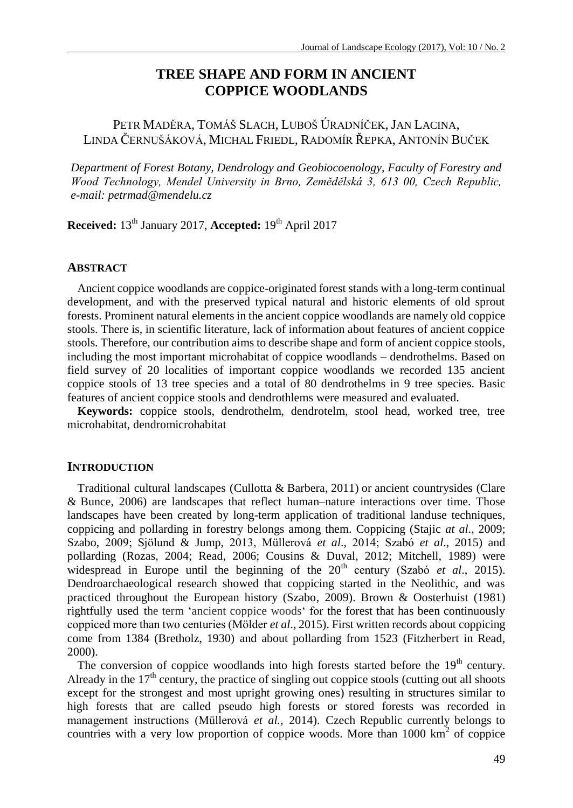# **TREE SHAPE AND FORM IN ANCIENT COPPICE WOODLANDS**

PETR MADĚRA, TOMÁŠ SLACH, LUBOŠ ÚRADNÍČEK, JAN LACINA, LINDA ČERNUŠÁKOVÁ, MICHAL FRIEDL, RADOMÍR ŘEPKA, ANTONÍN BUČEK

*Department of Forest Botany, Dendrology and Geobiocoenology, Faculty of Forestry and Wood Technology, Mendel University in Brno, Zemědělská 3, 613 00, Czech Republic, e-mail: [petrmad@mendelu.cz](mailto:petrmad@mendelu.cz)*

**Received:** 13<sup>th</sup> January 2017, **Accepted:** 19<sup>th</sup> April 2017

## **ABSTRACT**

Ancient coppice woodlands are coppice-originated forest stands with a long-term continual development, and with the preserved typical natural and historic elements of old sprout forests. Prominent natural elements in the ancient coppice woodlands are namely old coppice stools. There is, in scientific literature, lack of information about features of ancient coppice stools. Therefore, our contribution aims to describe shape and form of ancient coppice stools, including the most important microhabitat of coppice woodlands – dendrothelms. Based on field survey of 20 localities of important coppice woodlands we recorded 135 ancient coppice stools of 13 tree species and a total of 80 dendrothelms in 9 tree species. Basic features of ancient coppice stools and dendrothlems were measured and evaluated.

**Keywords:** coppice stools, dendrothelm, dendrotelm, stool head, worked tree, tree microhabitat, dendromicrohabitat

# **INTRODUCTION**

Traditional cultural landscapes (Cullotta & Barbera, 2011) or ancient countrysides (Clare & Bunce, 2006) are landscapes that reflect human–nature interactions over time. Those landscapes have been created by long-term application of traditional landuse techniques, coppicing and pollarding in forestry belongs among them. Coppicing (Stajic *at al*., 2009; Szabo, 2009; Sjölund & Jump, 2013, Müllerová *et al*., 2014; Szabó *et al*., 2015) and pollarding (Rozas, 2004; Read, 2006; Cousins & Duval, 2012; Mitchell, 1989) were widespread in Europe until the beginning of the 20<sup>th</sup> century (Szabó *et al.*, 2015). Dendroarchaeological research showed that coppicing started in the Neolithic, and was practiced throughout the European history (Szabo, 2009). Brown & Oosterhuist (1981) rightfully used the term 'ancient coppice woods' for the forest that has been continuously coppiced more than two centuries (Mölder *et al*., 2015). First written records about coppicing come from 1384 (Bretholz, 1930) and about pollarding from 1523 (Fitzherbert in Read, 2000).

The conversion of coppice woodlands into high forests started before the  $19<sup>th</sup>$  century. Already in the  $17<sup>th</sup>$  century, the practice of singling out coppice stools (cutting out all shoots except for the strongest and most upright growing ones) resulting in structures similar to high forests that are called pseudo high forests or stored forests was recorded in management instructions (Müllerová *et al.*, 2014). Czech Republic currently belongs to countries with a very low proportion of coppice woods. More than  $1000 \text{ km}^2$  of coppice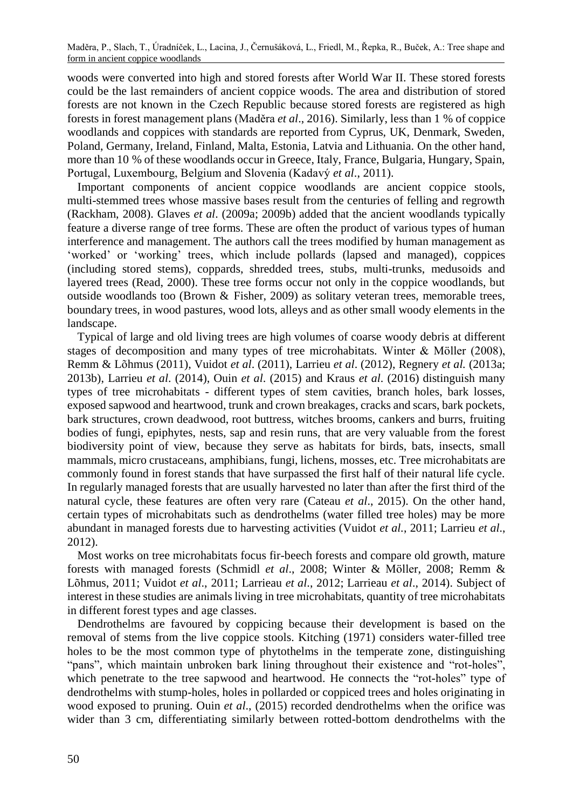woods were converted into high and stored forests after World War II. These stored forests could be the last remainders of ancient coppice woods. The area and distribution of stored forests are not known in the Czech Republic because stored forests are registered as high forests in forest management plans (Maděra *et al*., 2016). Similarly, less than 1 % of coppice woodlands and coppices with standards are reported from Cyprus, UK, Denmark, Sweden, Poland, Germany, Ireland, Finland, Malta, Estonia, Latvia and Lithuania. On the other hand, more than 10 % of these woodlands occur in Greece, Italy, France, Bulgaria, Hungary, Spain, Portugal, Luxembourg, Belgium and Slovenia (Kadavý *et al*., 2011).

Important components of ancient coppice woodlands are ancient coppice stools, multi-stemmed trees whose massive bases result from the centuries of felling and regrowth (Rackham, 2008). Glaves *et al*. (2009a; 2009b) added that the ancient woodlands typically feature a diverse range of tree forms. These are often the product of various types of human interference and management. The authors call the trees modified by human management as 'worked' or 'working' trees, which include pollards (lapsed and managed), coppices (including stored stems), coppards, shredded trees, stubs, multi-trunks, medusoids and layered trees (Read, 2000). These tree forms occur not only in the coppice woodlands, but outside woodlands too (Brown  $\&$  Fisher, 2009) as solitary veteran trees, memorable trees, boundary trees, in wood pastures, wood lots, alleys and as other small woody elements in the landscape.

Typical of large and old living trees are high volumes of coarse woody debris at different stages of decomposition and many types of tree microhabitats. Winter & Möller (2008), Remm & Lõhmus (2011), Vuidot *et al*. (2011), Larrieu *et al*. (2012), Regnery *et al.* (2013a; 2013b), Larrieu *et al*. (2014), Ouin *et al*. (2015) and Kraus *et al*. (2016) distinguish many types of tree microhabitats - different types of stem cavities, branch holes, bark losses, exposed sapwood and heartwood, trunk and crown breakages, cracks and scars, bark pockets, bark structures, crown deadwood, root buttress, witches brooms, cankers and burrs, fruiting bodies of fungi, epiphytes, nests, sap and resin runs, that are very valuable from the forest biodiversity point of view, because they serve as habitats for birds, bats, insects, small mammals, micro crustaceans, amphibians, fungi, lichens, mosses, etc. Tree microhabitats are commonly found in forest stands that have surpassed the first half of their natural life cycle. In regularly managed forests that are usually harvested no later than after the first third of the natural cycle, these features are often very rare (Cateau *et al*., 2015). On the other hand, certain types of microhabitats such as dendrothelms (water filled tree holes) may be more abundant in managed forests due to harvesting activities (Vuidot *et al.*, 2011; Larrieu *et al*., 2012).

Most works on tree microhabitats focus fir-beech forests and compare old growth, mature forests with managed forests (Schmidl *et al*., 2008; Winter & Möller, 2008; Remm & Lõhmus, 2011; Vuidot *et al*., 2011; Larrieau *et al*., 2012; Larrieau *et al*., 2014). Subject of interest in these studies are animals living in tree microhabitats, quantity of tree microhabitats in different forest types and age classes.

Dendrothelms are favoured by coppicing because their development is based on the removal of stems from the live coppice stools. Kitching (1971) considers water-filled tree holes to be the most common type of phytothelms in the temperate zone, distinguishing "pans", which maintain unbroken bark lining throughout their existence and "rot-holes", which penetrate to the tree sapwood and heartwood. He connects the "rot-holes" type of dendrothelms with stump-holes, holes in pollarded or coppiced trees and holes originating in wood exposed to pruning. Ouin *et al*., (2015) recorded dendrothelms when the orifice was wider than 3 cm, differentiating similarly between rotted-bottom dendrothelms with the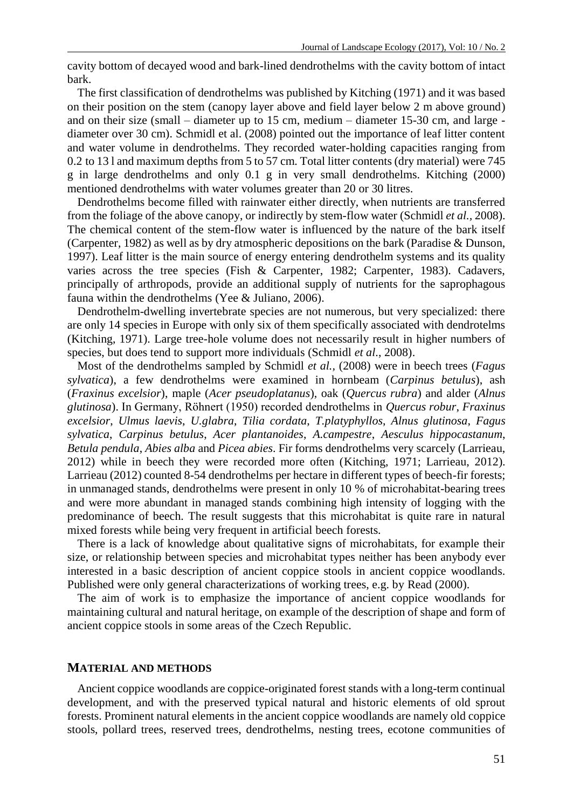cavity bottom of decayed wood and bark-lined dendrothelms with the cavity bottom of intact bark.

The first classification of dendrothelms was published by Kitching (1971) and it was based on their position on the stem (canopy layer above and field layer below 2 m above ground) and on their size (small – diameter up to 15 cm, medium – diameter 15-30 cm, and large diameter over 30 cm). Schmidl et al. (2008) pointed out the importance of leaf litter content and water volume in dendrothelms. They recorded water-holding capacities ranging from 0.2 to 13 l and maximum depths from 5 to 57 cm. Total litter contents (dry material) were 745 g in large dendrothelms and only 0.1 g in very small dendrothelms. Kitching (2000) mentioned dendrothelms with water volumes greater than 20 or 30 litres.

Dendrothelms become filled with rainwater either directly, when nutrients are transferred from the foliage of the above canopy, or indirectly by stem-flow water (Schmidl *et al.,* 2008). The chemical content of the stem-flow water is influenced by the nature of the bark itself (Carpenter, 1982) as well as by dry atmospheric depositions on the bark (Paradise & Dunson, 1997). Leaf litter is the main source of energy entering dendrothelm systems and its quality varies across the tree species (Fish & Carpenter, 1982; Carpenter, 1983). Cadavers, principally of arthropods, provide an additional supply of nutrients for the saprophagous fauna within the dendrothelms (Yee & Juliano, 2006).

Dendrothelm-dwelling invertebrate species are not numerous, but very specialized: there are only 14 species in Europe with only six of them specifically associated with dendrotelms (Kitching, 1971). Large tree-hole volume does not necessarily result in higher numbers of species, but does tend to support more individuals (Schmidl *et al*., 2008).

Most of the dendrothelms sampled by Schmidl *et al.,* (2008) were in beech trees (*Fagus sylvatica*), a few dendrothelms were examined in hornbeam (*Carpinus betulus*), ash (*Fraxinus excelsior*), maple (*Acer pseudoplatanus*), oak (*Quercus rubra*) and alder (*Alnus glutinosa*). In Germany, Röhnert (1950) recorded dendrothelms in *Quercus robur*, *Fraxinus excelsior*, *Ulmus laevis*, *U.glabra*, *Tilia cordata*, *T.platyphyllos*, *Alnus glutinosa*, *Fagus sylvatica*, *Carpinus betulus*, *Acer plantanoides*, *A.campestre*, *Aesculus hippocastanum*, *Betula pendula*, *Abies alba* and *Picea abies*. Fir forms dendrothelms very scarcely (Larrieau, 2012) while in beech they were recorded more often (Kitching, 1971; Larrieau, 2012). Larrieau (2012) counted 8-54 dendrothelms per hectare in different types of beech-fir forests; in unmanaged stands, dendrothelms were present in only 10 % of microhabitat-bearing trees and were more abundant in managed stands combining high intensity of logging with the predominance of beech. The result suggests that this microhabitat is quite rare in natural mixed forests while being very frequent in artificial beech forests.

There is a lack of knowledge about qualitative signs of microhabitats, for example their size, or relationship between species and microhabitat types neither has been anybody ever interested in a basic description of ancient coppice stools in ancient coppice woodlands. Published were only general characterizations of working trees, e.g. by Read (2000).

The aim of work is to emphasize the importance of ancient coppice woodlands for maintaining cultural and natural heritage, on example of the description of shape and form of ancient coppice stools in some areas of the Czech Republic.

#### **MATERIAL AND METHODS**

Ancient coppice woodlands are coppice-originated forest stands with a long-term continual development, and with the preserved typical natural and historic elements of old sprout forests. Prominent natural elements in the ancient coppice woodlands are namely old coppice stools, pollard trees, reserved trees, dendrothelms, nesting trees, ecotone communities of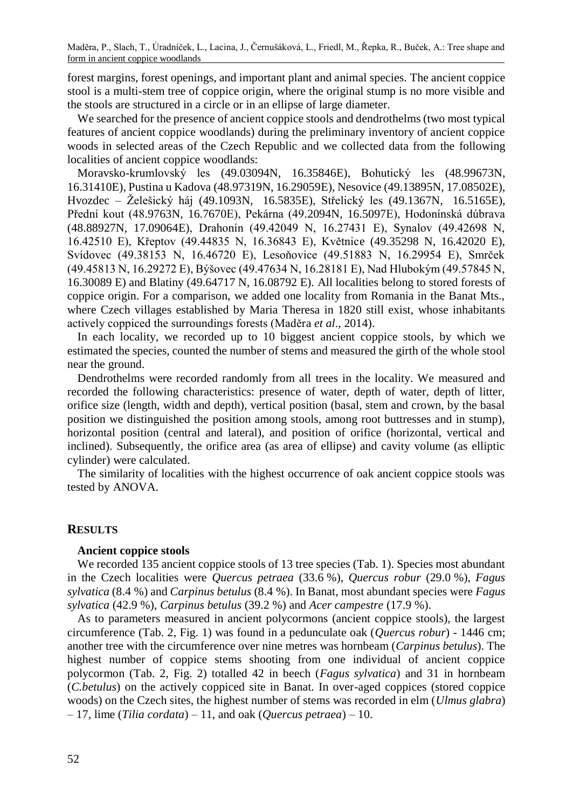Maděra, P., Slach, T., Úradníček, L., Lacina, J., Černušáková, L., Friedl, M., Řepka, R., Buček, A.: Tree shape and form in ancient coppice woodlands

forest margins, forest openings, and important plant and animal species. The ancient coppice stool is a multi-stem tree of coppice origin, where the original stump is no more visible and the stools are structured in a circle or in an ellipse of large diameter.

We searched for the presence of ancient coppice stools and dendrothelms (two most typical features of ancient coppice woodlands) during the preliminary inventory of ancient coppice woods in selected areas of the Czech Republic and we collected data from the following localities of ancient coppice woodlands:

Moravsko-krumlovský les (49.03094N, 16.35846E), Bohutický les (48.99673N, 16.31410E), Pustina u Kadova (48.97319N, 16.29059E), Nesovice (49.13895N, 17.08502E), Hvozdec – Želešický háj (49.1093N, 16.5835E), Střelický les (49.1367N, 16.5165E), Přední kout (48.9763N, 16.7670E), Pekárna (49.2094N, 16.5097E), Hodonínská dúbrava (48.88927N, 17.09064E), Drahonín (49.42049 N, 16.27431 E), Synalov (49.42698 N, 16.42510 E), Křeptov (49.44835 N, 16.36843 E), Květnice (49.35298 N, 16.42020 E), Svídovec (49.38153 N, 16.46720 E), Lesoňovice (49.51883 N, 16.29954 E), Smrček (49.45813 N, 16.29272 E), Býšovec (49.47634 N, 16.28181 E), Nad Hlubokým (49.57845 N, 16.30089 E) and Blatiny (49.64717 N, 16.08792 E). All localities belong to stored forests of coppice origin. For a comparison, we added one locality from Romania in the Banat Mts., where Czech villages established by Maria Theresa in 1820 still exist, whose inhabitants actively coppiced the surroundings forests (Maděra *et al*., 2014).

In each locality, we recorded up to 10 biggest ancient coppice stools, by which we estimated the species, counted the number of stems and measured the girth of the whole stool near the ground.

Dendrothelms were recorded randomly from all trees in the locality. We measured and recorded the following characteristics: presence of water, depth of water, depth of litter, orifice size (length, width and depth), vertical position (basal, stem and crown, by the basal position we distinguished the position among stools, among root buttresses and in stump), horizontal position (central and lateral), and position of orifice (horizontal, vertical and inclined). Subsequently, the orifice area (as area of ellipse) and cavity volume (as elliptic cylinder) were calculated.

The similarity of localities with the highest occurrence of oak ancient coppice stools was tested by ANOVA.

#### **RESULTS**

### **Ancient coppice stools**

We recorded 135 ancient coppice stools of 13 tree species (Tab. 1). Species most abundant in the Czech localities were *Quercus petraea* (33.6 %), *Quercus robur* (29.0 %), *Fagus sylvatica* (8.4 %) and *Carpinus betulus* (8.4 %). In Banat, most abundant species were *Fagus sylvatica* (42.9 %), *Carpinus betulus* (39.2 %) and *Acer campestre* (17.9 %).

As to parameters measured in ancient polycormons (ancient coppice stools), the largest circumference (Tab. 2, Fig. 1) was found in a pedunculate oak (*Quercus robur*) - 1446 cm; another tree with the circumference over nine metres was hornbeam (*Carpinus betulus*). The highest number of coppice stems shooting from one individual of ancient coppice polycormon (Tab. 2, Fig. 2) totalled 42 in beech (*Fagus sylvatica*) and 31 in hornbeam (*C.betulus*) on the actively coppiced site in Banat. In over-aged coppices (stored coppice woods) on the Czech sites, the highest number of stems was recorded in elm (*Ulmus glabra*) – 17, lime (*Tilia cordata*) – 11, and oak (*Quercus petraea*) – 10.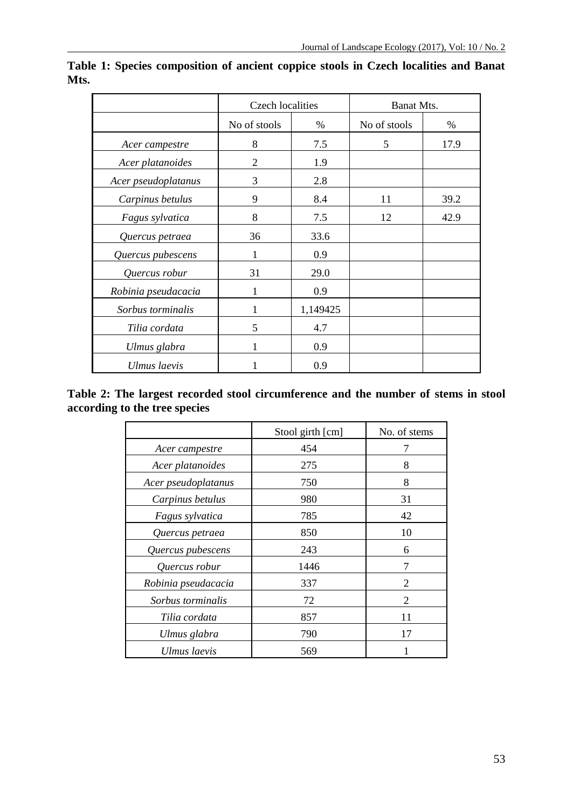|                     | <b>Czech</b> localities |          | Banat Mts.   |      |  |
|---------------------|-------------------------|----------|--------------|------|--|
|                     | No of stools            | $\%$     | No of stools | $\%$ |  |
| Acer campestre      | 8                       | 7.5      | 5            | 17.9 |  |
| Acer platanoides    | 2                       | 1.9      |              |      |  |
| Acer pseudoplatanus | 3                       | 2.8      |              |      |  |
| Carpinus betulus    | 9                       | 8.4      | 11           | 39.2 |  |
| Fagus sylvatica     | 8                       | 7.5      | 12           | 42.9 |  |
| Quercus petraea     | 36                      | 33.6     |              |      |  |
| Quercus pubescens   |                         | 0.9      |              |      |  |
| Quercus robur       | 31                      | 29.0     |              |      |  |
| Robinia pseudacacia | 1                       | 0.9      |              |      |  |
| Sorbus torminalis   | 1                       | 1,149425 |              |      |  |
| Tilia cordata       | 5                       | 4.7      |              |      |  |
| Ulmus glabra        | 1                       | 0.9      |              |      |  |
| Ulmus laevis        |                         | 0.9      |              |      |  |

**Table 1: Species composition of ancient coppice stools in Czech localities and Banat Mts.**

**Table 2: The largest recorded stool circumference and the number of stems in stool according to the tree species**

|                     | Stool girth [cm] | No. of stems   |  |  |
|---------------------|------------------|----------------|--|--|
| Acer campestre      | 454              | 7              |  |  |
| Acer platanoides    | 275              | 8              |  |  |
| Acer pseudoplatanus | 750              | 8              |  |  |
| Carpinus betulus    | 980              | 31             |  |  |
| Fagus sylvatica     | 785              | 42             |  |  |
| Quercus petraea     | 850              | 10             |  |  |
| Quercus pubescens   | 243              | 6              |  |  |
| Quercus robur       | 1446             | 7              |  |  |
| Robinia pseudacacia | 337              | $\mathfrak{D}$ |  |  |
| Sorbus torminalis   | 72               | 2              |  |  |
| Tilia cordata       | 857              | 11             |  |  |
| Ulmus glabra        | 790              | 17             |  |  |
| Ulmus laevis        | 569              |                |  |  |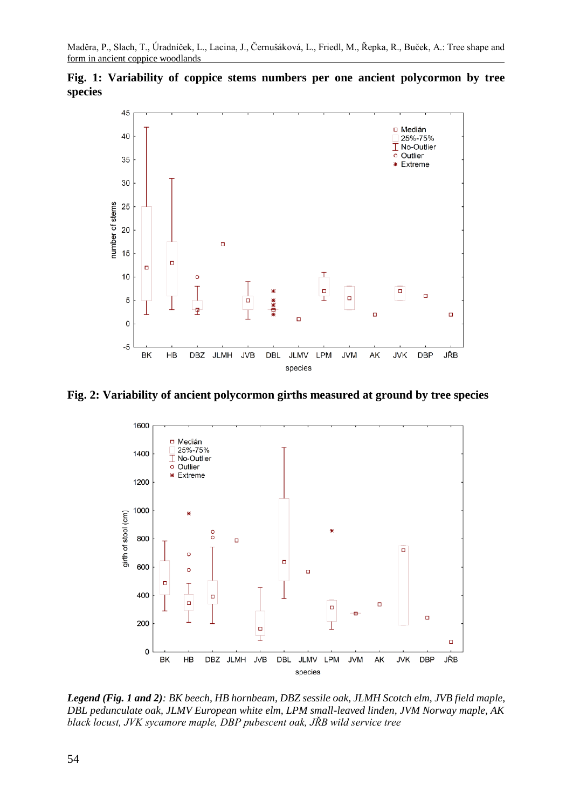**Fig. 1: Variability of coppice stems numbers per one ancient polycormon by tree species**



**Fig. 2: Variability of ancient polycormon girths measured at ground by tree species**



*Legend (Fig. 1 and 2): BK beech, HB hornbeam, DBZ sessile oak, JLMH Scotch elm, JVB field maple, DBL pedunculate oak, JLMV European white elm, LPM small-leaved linden, JVM Norway maple, AK black locust, JVK sycamore maple, DBP pubescent oak, JŘB wild service tree*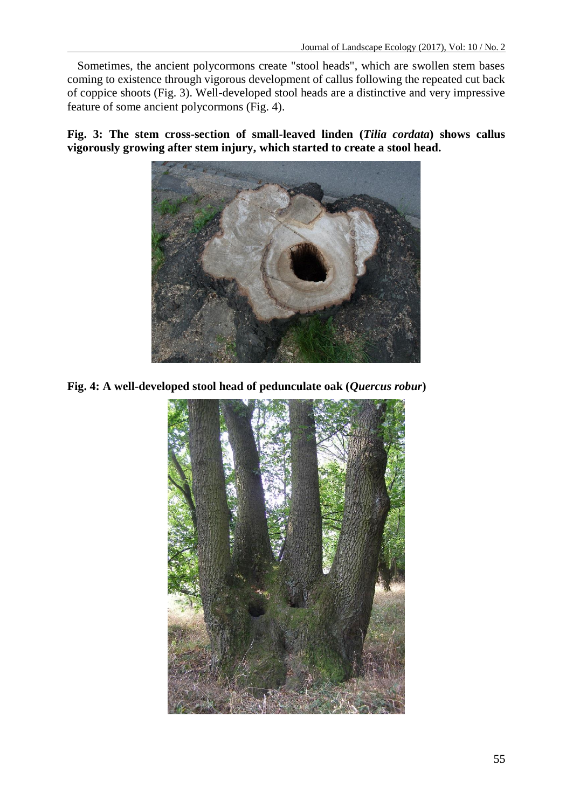Sometimes, the ancient polycormons create "stool heads", which are swollen stem bases coming to existence through vigorous development of callus following the repeated cut back of coppice shoots (Fig. 3). Well-developed stool heads are a distinctive and very impressive feature of some ancient polycormons (Fig. 4).

**Fig. 3: The stem cross-section of small-leaved linden (***Tilia cordata***) shows callus vigorously growing after stem injury, which started to create a stool head.**



**Fig. 4: A well-developed stool head of pedunculate oak (***Quercus robur***)**

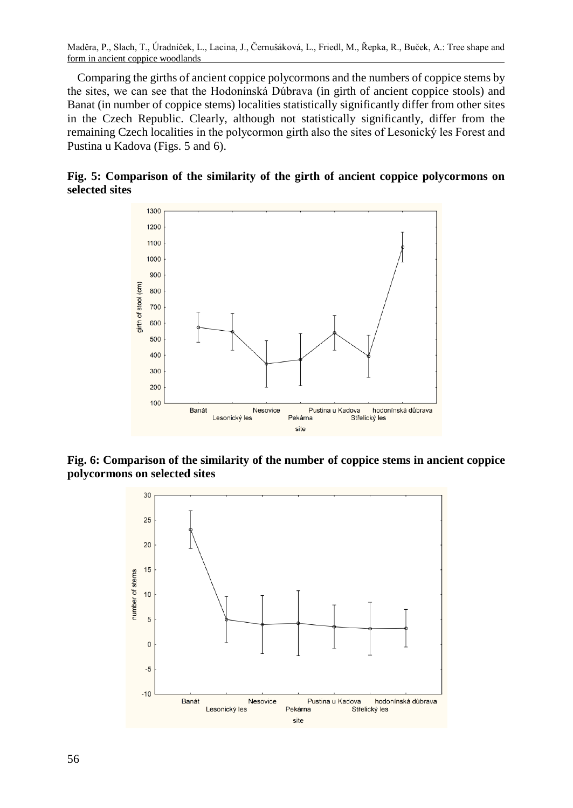Maděra, P., Slach, T., Úradníček, L., Lacina, J., Černušáková, L., Friedl, M., Řepka, R., Buček, A.: Tree shape and form in ancient coppice woodlands

Comparing the girths of ancient coppice polycormons and the numbers of coppice stems by the sites, we can see that the Hodonínská Dúbrava (in girth of ancient coppice stools) and Banat (in number of coppice stems) localities statistically significantly differ from other sites in the Czech Republic. Clearly, although not statistically significantly, differ from the remaining Czech localities in the polycormon girth also the sites of Lesonický les Forest and Pustina u Kadova (Figs. 5 and 6).





**Fig. 6: Comparison of the similarity of the number of coppice stems in ancient coppice polycormons on selected sites**

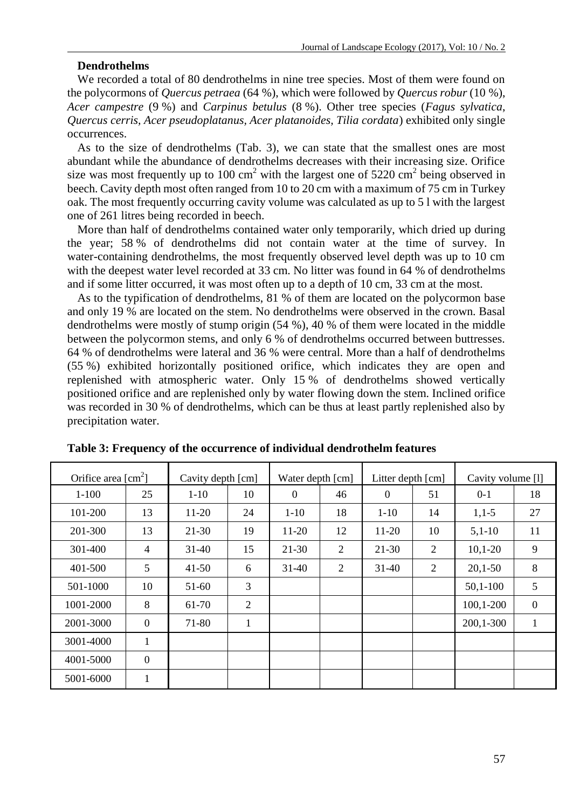# **Dendrothelms**

We recorded a total of 80 dendrothelms in nine tree species. Most of them were found on the polycormons of *Quercus petraea* (64 %), which were followed by *Quercus robur* (10 %), *Acer campestre* (9 %) and *Carpinus betulus* (8 %). Other tree species (*Fagus sylvatica*, *Quercus cerris, Acer pseudoplatanus, Acer platanoides, Tilia cordata*) exhibited only single occurrences.

As to the size of dendrothelms (Tab. 3), we can state that the smallest ones are most abundant while the abundance of dendrothelms decreases with their increasing size. Orifice size was most frequently up to 100 cm<sup>2</sup> with the largest one of 5220 cm<sup>2</sup> being observed in beech. Cavity depth most often ranged from 10 to 20 cm with a maximum of 75 cm in Turkey oak. The most frequently occurring cavity volume was calculated as up to 5 l with the largest one of 261 litres being recorded in beech.

More than half of dendrothelms contained water only temporarily, which dried up during the year; 58 % of dendrothelms did not contain water at the time of survey. In water-containing dendrothelms, the most frequently observed level depth was up to 10 cm with the deepest water level recorded at 33 cm. No litter was found in 64 % of dendrothelms and if some litter occurred, it was most often up to a depth of 10 cm, 33 cm at the most.

As to the typification of dendrothelms, 81 % of them are located on the polycormon base and only 19 % are located on the stem. No dendrothelms were observed in the crown. Basal dendrothelms were mostly of stump origin (54 %), 40 % of them were located in the middle between the polycormon stems, and only 6 % of dendrothelms occurred between buttresses. 64 % of dendrothelms were lateral and 36 % were central. More than a half of dendrothelms (55 %) exhibited horizontally positioned orifice, which indicates they are open and replenished with atmospheric water. Only 15 % of dendrothelms showed vertically positioned orifice and are replenished only by water flowing down the stem. Inclined orifice was recorded in 30 % of dendrothelms, which can be thus at least partly replenished also by precipitation water.

| Orifice area $\lceil$ cm <sup>2</sup> $\rceil$ |                | Cavity depth [cm] |    | Water depth [cm] |    | Litter depth [cm] |    | Cavity volume [1] |          |
|------------------------------------------------|----------------|-------------------|----|------------------|----|-------------------|----|-------------------|----------|
| $1 - 100$                                      | 25             | $1 - 10$          | 10 | $\Omega$         | 46 | $\Omega$          | 51 | $0-1$             | 18       |
| 101-200                                        | 13             | $11 - 20$         | 24 | $1-10$           | 18 | $1-10$            | 14 | $1,1-5$           | 27       |
| 201-300                                        | 13             | $21 - 30$         | 19 | 11-20            | 12 | $11-20$           | 10 | $5,1-10$          | 11       |
| 301-400                                        | $\overline{4}$ | $31-40$           | 15 | 21-30            | 2  | $21 - 30$         | 2  | $10,1-20$         | 9        |
| 401-500                                        | 5              | $41 - 50$         | 6  | $31-40$          | 2  | $31-40$           | 2  | $20,1-50$         | 8        |
| 501-1000                                       | 10             | $51-60$           | 3  |                  |    |                   |    | $50,1-100$        | 5        |
| 1001-2000                                      | 8              | 61-70             | 2  |                  |    |                   |    | 100,1-200         | $\theta$ |
| 2001-3000                                      | $\theta$       | 71-80             | 1  |                  |    |                   |    | 200,1-300         | 1        |
| 3001-4000                                      | 1              |                   |    |                  |    |                   |    |                   |          |
| 4001-5000                                      | $\theta$       |                   |    |                  |    |                   |    |                   |          |
| 5001-6000                                      | 1              |                   |    |                  |    |                   |    |                   |          |

**Table 3: Frequency of the occurrence of individual dendrothelm features**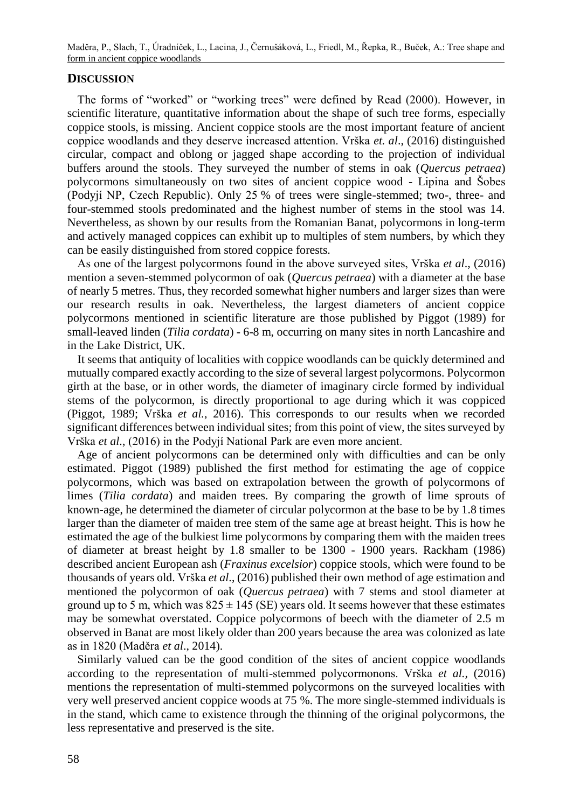# **DISCUSSION**

The forms of "worked" or "working trees" were defined by Read (2000). However, in scientific literature, quantitative information about the shape of such tree forms, especially coppice stools, is missing. Ancient coppice stools are the most important feature of ancient coppice woodlands and they deserve increased attention. Vrška *et. al*., (2016) distinguished circular, compact and oblong or jagged shape according to the projection of individual buffers around the stools. They surveyed the number of stems in oak (*Quercus petraea*) polycormons simultaneously on two sites of ancient coppice wood - Lipina and Šobes (Podyjí NP, Czech Republic). Only 25 % of trees were single-stemmed; two-, three- and four-stemmed stools predominated and the highest number of stems in the stool was 14. Nevertheless, as shown by our results from the Romanian Banat, polycormons in long-term and actively managed coppices can exhibit up to multiples of stem numbers, by which they can be easily distinguished from stored coppice forests.

As one of the largest polycormons found in the above surveyed sites, Vrška *et al*., (2016) mention a seven-stemmed polycormon of oak (*Quercus petraea*) with a diameter at the base of nearly 5 metres. Thus, they recorded somewhat higher numbers and larger sizes than were our research results in oak. Nevertheless, the largest diameters of ancient coppice polycormons mentioned in scientific literature are those published by Piggot (1989) for small-leaved linden (*Tilia cordata*) - 6-8 m, occurring on many sites in north Lancashire and in the Lake District, UK.

It seems that antiquity of localities with coppice woodlands can be quickly determined and mutually compared exactly according to the size of several largest polycormons. Polycormon girth at the base, or in other words, the diameter of imaginary circle formed by individual stems of the polycormon, is directly proportional to age during which it was coppiced (Piggot, 1989; Vrška *et al.*, 2016). This corresponds to our results when we recorded significant differences between individual sites; from this point of view, the sites surveyed by Vrška *et al*., (2016) in the Podyjí National Park are even more ancient.

Age of ancient polycormons can be determined only with difficulties and can be only estimated. Piggot (1989) published the first method for estimating the age of coppice polycormons, which was based on extrapolation between the growth of polycormons of limes (*Tilia cordata*) and maiden trees. By comparing the growth of lime sprouts of known-age, he determined the diameter of circular polycormon at the base to be by 1.8 times larger than the diameter of maiden tree stem of the same age at breast height. This is how he estimated the age of the bulkiest lime polycormons by comparing them with the maiden trees of diameter at breast height by 1.8 smaller to be 1300 - 1900 years. Rackham (1986) described ancient European ash (*Fraxinus excelsior*) coppice stools, which were found to be thousands of years old. Vrška *et al*., (2016) published their own method of age estimation and mentioned the polycormon of oak (*Quercus petraea*) with 7 stems and stool diameter at ground up to 5 m, which was  $825 \pm 145$  (SE) years old. It seems however that these estimates may be somewhat overstated. Coppice polycormons of beech with the diameter of 2.5 m observed in Banat are most likely older than 200 years because the area was colonized as late as in 1820 (Maděra *et al*., 2014).

Similarly valued can be the good condition of the sites of ancient coppice woodlands according to the representation of multi-stemmed polycormonons. Vrška *et al.,* (2016) mentions the representation of multi-stemmed polycormons on the surveyed localities with very well preserved ancient coppice woods at 75 %. The more single-stemmed individuals is in the stand, which came to existence through the thinning of the original polycormons, the less representative and preserved is the site.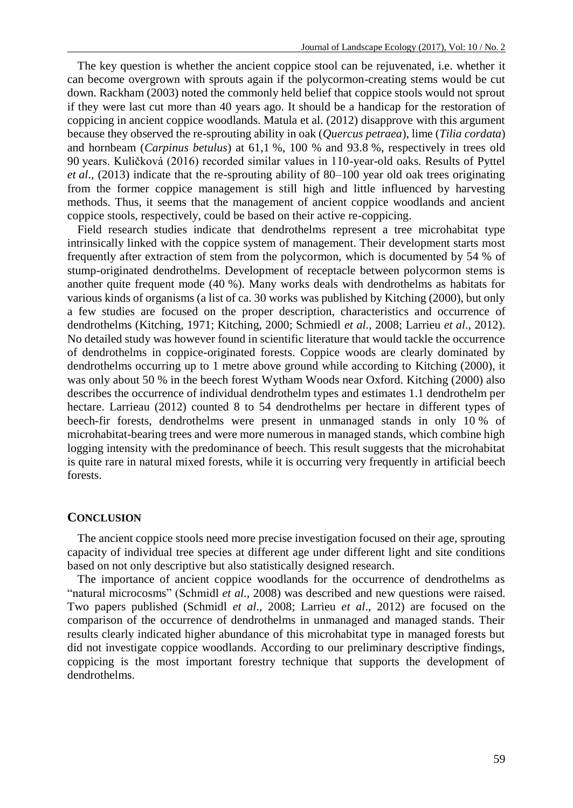The key question is whether the ancient coppice stool can be rejuvenated, i.e. whether it can become overgrown with sprouts again if the polycormon-creating stems would be cut down. Rackham (2003) noted the commonly held belief that coppice stools would not sprout if they were last cut more than 40 years ago. It should be a handicap for the restoration of coppicing in ancient coppice woodlands. Matula et al. (2012) disapprove with this argument because they observed the re-sprouting ability in oak (*Quercus petraea*), lime (*Tilia cordata*) and hornbeam (*Carpinus betulus*) at 61,1 %, 100 % and 93.8 %, respectively in trees old 90 years. Kuličková (2016) recorded similar values in 110-year-old oaks. Results of Pyttel *et al*., (2013) indicate that the re-sprouting ability of 80–100 year old oak trees originating from the former coppice management is still high and little influenced by harvesting methods. Thus, it seems that the management of ancient coppice woodlands and ancient coppice stools, respectively, could be based on their active re-coppicing.

Field research studies indicate that dendrothelms represent a tree microhabitat type intrinsically linked with the coppice system of management. Their development starts most frequently after extraction of stem from the polycormon, which is documented by 54 % of stump-originated dendrothelms. Development of receptacle between polycormon stems is another quite frequent mode (40 %). Many works deals with dendrothelms as habitats for various kinds of organisms (a list of ca. 30 works was published by Kitching (2000), but only a few studies are focused on the proper description, characteristics and occurrence of dendrothelms (Kitching, 1971; Kitching, 2000; Schmiedl *et al*., 2008; Larrieu *et al*., 2012). No detailed study was however found in scientific literature that would tackle the occurrence of dendrothelms in coppice-originated forests. Coppice woods are clearly dominated by dendrothelms occurring up to 1 metre above ground while according to Kitching (2000), it was only about 50 % in the beech forest Wytham Woods near Oxford. Kitching (2000) also describes the occurrence of individual dendrothelm types and estimates 1.1 dendrothelm per hectare. Larrieau (2012) counted 8 to 54 dendrothelms per hectare in different types of beech-fir forests, dendrothelms were present in unmanaged stands in only 10 % of microhabitat-bearing trees and were more numerous in managed stands, which combine high logging intensity with the predominance of beech. This result suggests that the microhabitat is quite rare in natural mixed forests, while it is occurring very frequently in artificial beech forests.

# **CONCLUSION**

The ancient coppice stools need more precise investigation focused on their age, sprouting capacity of individual tree species at different age under different light and site conditions based on not only descriptive but also statistically designed research.

The importance of ancient coppice woodlands for the occurrence of dendrothelms as "natural microcosms" (Schmidl *et al*., 2008) was described and new questions were raised. Two papers published (Schmidl *et al*., 2008; Larrieu *et al*., 2012) are focused on the comparison of the occurrence of dendrothelms in unmanaged and managed stands. Their results clearly indicated higher abundance of this microhabitat type in managed forests but did not investigate coppice woodlands. According to our preliminary descriptive findings, coppicing is the most important forestry technique that supports the development of dendrothelms.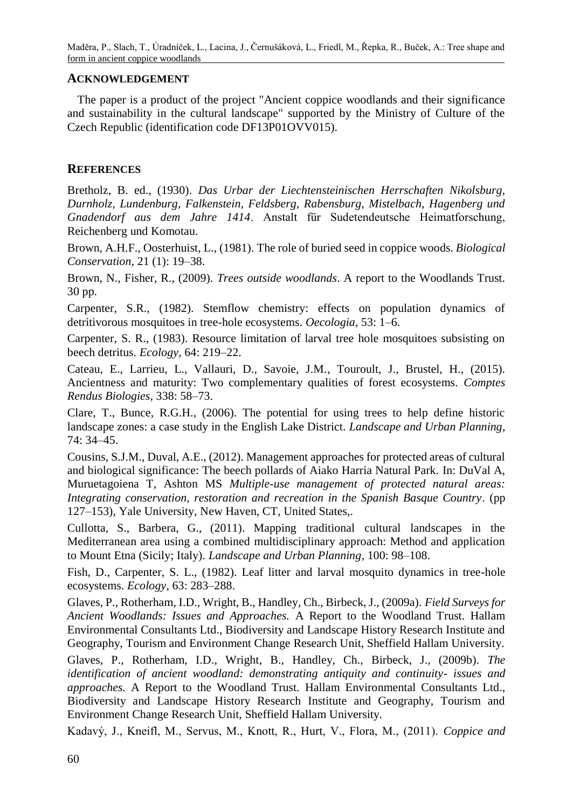# **ACKNOWLEDGEMENT**

The paper is a product of the project "Ancient coppice woodlands and their significance and sustainability in the cultural landscape" supported by the Ministry of Culture of the Czech Republic (identification code DF13P01OVV015).

# **REFERENCES**

Bretholz, B. ed., (1930). *Das Urbar der Liechtensteinischen Herrschaften Nikolsburg, Durnholz, Lundenburg, Falkenstein, Feldsberg, Rabensburg, Mistelbach, Hagenberg und Gnadendorf aus dem Jahre 1414*. Anstalt für Sudetendeutsche Heimatforschung, Reichenberg und Komotau.

Brown, A.H.F., Oosterhuist, L., (1981). The role of buried seed in coppice woods. *Biological Conservation*, 21 (1): 19–38.

Brown, N., Fisher, R., (2009). *Trees outside woodlands*. A report to the Woodlands Trust. 30 pp.

Carpenter, S.R., (1982). Stemflow chemistry: effects on population dynamics of detritivorous mosquitoes in tree-hole ecosystems. *Oecologia*, 53: 1–6.

Carpenter, S. R., (1983). Resource limitation of larval tree hole mosquitoes subsisting on beech detritus. *Ecology*, 64: 219–22.

Cateau, E., Larrieu, L., Vallauri, D., Savoie, J.M., Touroult, J., Brustel, H., (2015). Ancientness and maturity: Two complementary qualities of forest ecosystems. *Comptes Rendus Biologies*, 338: 58–73.

Clare, T., Bunce, R.G.H., (2006). The potential for using trees to help define historic landscape zones: a case study in the English Lake District. *Landscape and Urban Planning*, 74: 34–45.

Cousins, S.J.M., Duval, A.E., (2012). Management approaches for protected areas of cultural and biological significance: The beech pollards of Aiako Harria Natural Park. In: DuVal A, Muruetagoiena T, Ashton MS *Multiple-use management of protected natural areas: Integrating conservation, restoration and recreation in the Spanish Basque Country*. (pp 127–153), Yale University, New Haven, CT, United States,.

Cullotta, S., Barbera, G., (2011). Mapping traditional cultural landscapes in the Mediterranean area using a combined multidisciplinary approach: Method and application to Mount Etna (Sicily; Italy). *Landscape and Urban Planning*, 100: 98–108.

Fish, D., Carpenter, S. L., (1982). Leaf litter and larval mosquito dynamics in tree-hole ecosystems. *Ecology*, 63: 283–288.

Glaves, P., Rotherham, I.D., Wright, B., Handley, Ch., Birbeck, J., (2009a). *Field Surveys for Ancient Woodlands: Issues and Approaches.* A Report to the Woodland Trust. Hallam Environmental Consultants Ltd., Biodiversity and Landscape History Research Institute and Geography, Tourism and Environment Change Research Unit, Sheffield Hallam University.

Glaves, P., Rotherham, I.D., Wright, B., Handley, Ch., Birbeck, J., (2009b). *The identification of ancient woodland: demonstrating antiquity and continuity- issues and approaches.* A Report to the Woodland Trust. Hallam Environmental Consultants Ltd., Biodiversity and Landscape History Research Institute and Geography, Tourism and Environment Change Research Unit, Sheffield Hallam University.

Kadavý, J., Kneifl, M., Servus, M., Knott, R., Hurt, V., Flora, M., (2011). *Coppice and*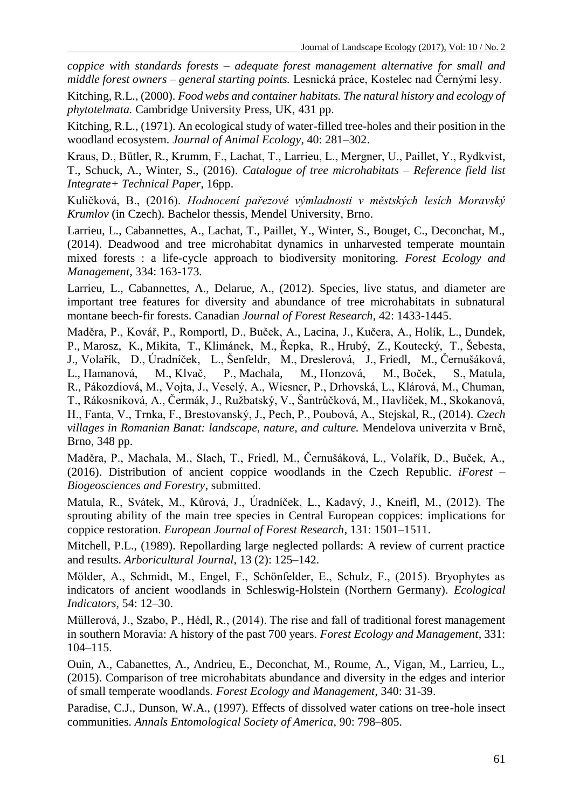*coppice with standards forests – adequate forest management alternative for small and middle forest owners – general starting points.* Lesnická práce, Kostelec nad Černými lesy.

Kitching, R.L., (2000). *Food webs and container habitats. The natural history and ecology of phytotelmata.* Cambridge University Press, UK, 431 pp.

Kitching, R.L., (1971). An ecological study of water-filled tree-holes and their position in the woodland ecosystem. *Journal of Animal Ecology*, 40: 281–302.

Kraus, D., Bütler, R., Krumm, F., Lachat, T., Larrieu, L., Mergner, U., Paillet, Y., Rydkvist, T., Schuck, A., Winter, S., (2016). *Catalogue of tree microhabitats – Reference field list Integrate+ Technical Paper*, 16pp.

Kuličková, B., (2016). *Hodnocení pařezové výmladnosti v městských lesích Moravský Krumlov* (in Czech). Bachelor thessis, Mendel University, Brno.

Larrieu, L., Cabannettes, A., Lachat, T., Paillet, Y., Winter, S., Bouget, C., Deconchat, M., (2014). Deadwood and tree microhabitat dynamics in unharvested temperate mountain mixed forests : a life-cycle approach to biodiversity monitoring. *Forest Ecology and Management*, 334: 163-173.

Larrieu, L., Cabannettes, A., Delarue, A., (2012). Species, live status, and diameter are important tree features for diversity and abundance of tree microhabitats in subnatural montane beech-fir forests. Canadian *Journal of Forest Research*, 42: 1433-1445.

Maděra, P., Kovář, P., Romportl, D., Buček, A., Lacina, J., Kučera, A., Holík, L., Dundek, P., Marosz, K., Mikita, T., Klimánek, M., Řepka, R., Hrubý, Z., Koutecký, T., Šebesta, J., Volařík, D., Úradníček, L., Šenfeldr, M., Dreslerová, J., Friedl, M., Černušáková, L., Hamanová, M., Klvač, P., Machala, M., Honzová, M., Boček, S., Matula, R., Pákozdiová, M., Vojta, J., Veselý, A., Wiesner, P., Drhovská, L., Klárová, M., Chuman, T., Rákosníková, A., Čermák, J., Ružbatský, V., Šantrůčková, M., Havlíček, M., Skokanová, H., Fanta, V., Trnka, F., Brestovanský, J., Pech, P., Poubová, A., Stejskal, R., (2014). *Czech villages in Romanian Banat: landscape, nature, and culture.* Mendelova univerzita v Brně, Brno, 348 pp.

Maděra, P., Machala, M., Slach, T., Friedl, M., Černušáková, L., Volařík, D., Buček, A., (2016). Distribution of ancient coppice woodlands in the Czech Republic. *iForest – Biogeosciences and Forestry*, submitted.

Matula, R., Svátek, M., Kůrová, J., Úradníček, L., Kadavý, J., Kneifl, M., (2012). The sprouting ability of the main tree species in Central European coppices: implications for coppice restoration. *European Journal of Forest Research*, 131: 1501–1511.

Mitchell, P.L., (1989). Repollarding large neglected pollards: A review of current practice and results. *Arboricultural Journal*, 13 (2): 125**–**142.

Mölder, A., Schmidt, M., Engel, F., Schönfelder, E., Schulz, F., (2015). Bryophytes as indicators of ancient woodlands in Schleswig-Holstein (Northern Germany). *Ecological Indicators*, 54: 12–30.

Müllerová, J., Szabo, P., Hédl, R., (2014). The rise and fall of traditional forest management in southern Moravia: A history of the past 700 years. *Forest Ecology and Management*, 331: 104–115.

Ouin, A., Cabanettes, A., Andrieu, E., Deconchat, M., Roume, A., Vigan, M., Larrieu, L., (2015). Comparison of tree microhabitats abundance and diversity in the edges and interior of small temperate woodlands. *Forest Ecology and Management*, 340: 31-39.

Paradise, C.J., Dunson, W.A., (1997). Effects of dissolved water cations on tree-hole insect communities. *Annals Entomological Society of America*, 90: 798–805.